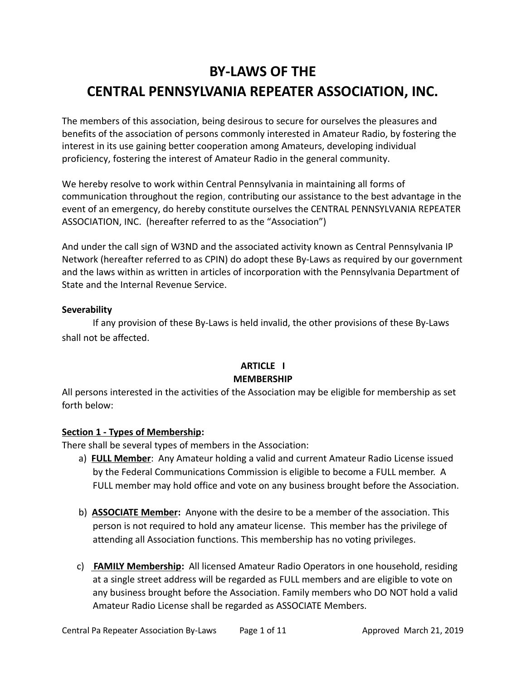# **BY-LAWS OF THE CENTRAL PENNSYLVANIA REPEATER ASSOCIATION, INC.**

The members of this association, being desirous to secure for ourselves the pleasures and benefits of the association of persons commonly interested in Amateur Radio, by fostering the interest in its use gaining better cooperation among Amateurs, developing individual proficiency, fostering the interest of Amateur Radio in the general community.

We hereby resolve to work within Central Pennsylvania in maintaining all forms of communication throughout the region, contributing our assistance to the best advantage in the event of an emergency, do hereby constitute ourselves the CENTRAL PENNSYLVANIA REPEATER ASSOCIATION, INC. (hereafter referred to as the "Association")

And under the call sign of W3ND and the associated activity known as Central Pennsylvania IP Network (hereafter referred to as CPIN) do adopt these By-Laws as required by our government and the laws within as written in articles of incorporation with the Pennsylvania Department of State and the Internal Revenue Service.

#### **Severability**

If any provision of these By-Laws is held invalid, the other provisions of these By-Laws shall not be affected.

#### **ARTICLE I MEMBERSHIP**

All persons interested in the activities of the Association may be eligible for membership as set forth below:

#### **Section 1 - Types of Membership:**

There shall be several types of members in the Association:

- a) **FULL Member**: Any Amateur holding a valid and current Amateur Radio License issued by the Federal Communications Commission is eligible to become a FULL member. A FULL member may hold office and vote on any business brought before the Association.
- b) **ASSOCIATE Member:** Anyone with the desire to be a member of the association. This person is not required to hold any amateur license. This member has the privilege of attending all Association functions. This membership has no voting privileges.
- c) **FAMILY Membership:** All licensed Amateur Radio Operators in one household, residing at a single street address will be regarded as FULL members and are eligible to vote on any business brought before the Association. Family members who DO NOT hold a valid Amateur Radio License shall be regarded as ASSOCIATE Members.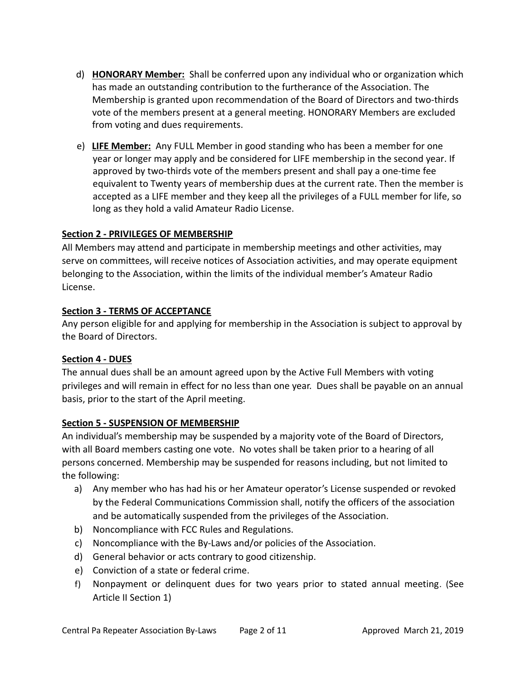- d) **HONORARY Member:** Shall be conferred upon any individual who or organization which has made an outstanding contribution to the furtherance of the Association. The Membership is granted upon recommendation of the Board of Directors and two-thirds vote of the members present at a general meeting. HONORARY Members are excluded from voting and dues requirements.
- e) **LIFE Member:** Any FULL Member in good standing who has been a member for one year or longer may apply and be considered for LIFE membership in the second year. If approved by two-thirds vote of the members present and shall pay a one-time fee equivalent to Twenty years of membership dues at the current rate. Then the member is accepted as a LIFE member and they keep all the privileges of a FULL member for life, so long as they hold a valid Amateur Radio License.

# **Section 2 - PRIVILEGES OF MEMBERSHIP**

All Members may attend and participate in membership meetings and other activities, may serve on committees, will receive notices of Association activities, and may operate equipment belonging to the Association, within the limits of the individual member's Amateur Radio License.

#### **Section 3 - TERMS OF ACCEPTANCE**

Any person eligible for and applying for membership in the Association is subject to approval by the Board of Directors.

#### **Section 4 - DUES**

The annual dues shall be an amount agreed upon by the Active Full Members with voting privileges and will remain in effect for no less than one year. Dues shall be payable on an annual basis, prior to the start of the April meeting.

#### **Section 5 - SUSPENSION OF MEMBERSHIP**

An individual's membership may be suspended by a majority vote of the Board of Directors, with all Board members casting one vote. No votes shall be taken prior to a hearing of all persons concerned. Membership may be suspended for reasons including, but not limited to the following:

- a) Any member who has had his or her Amateur operator's License suspended or revoked by the Federal Communications Commission shall, notify the officers of the association and be automatically suspended from the privileges of the Association.
- b) Noncompliance with FCC Rules and Regulations.
- c) Noncompliance with the By-Laws and/or policies of the Association.
- d) General behavior or acts contrary to good citizenship.
- e) Conviction of a state or federal crime.
- f) Nonpayment or delinquent dues for two years prior to stated annual meeting. (See Article II Section 1)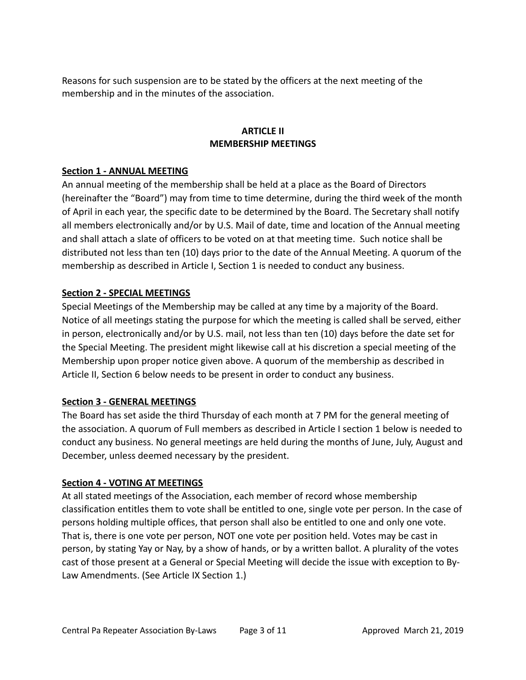Reasons for such suspension are to be stated by the officers at the next meeting of the membership and in the minutes of the association.

# **ARTICLE II MEMBERSHIP MEETINGS**

#### **Section 1 - ANNUAL MEETING**

An annual meeting of the membership shall be held at a place as the Board of Directors (hereinafter the "Board") may from time to time determine, during the third week of the month of April in each year, the specific date to be determined by the Board. The Secretary shall notify all members electronically and/or by U.S. Mail of date, time and location of the Annual meeting and shall attach a slate of officers to be voted on at that meeting time. Such notice shall be distributed not less than ten (10) days prior to the date of the Annual Meeting. A quorum of the membership as described in Article I, Section 1 is needed to conduct any business.

# **Section 2 - SPECIAL MEETINGS**

Special Meetings of the Membership may be called at any time by a majority of the Board. Notice of all meetings stating the purpose for which the meeting is called shall be served, either in person, electronically and/or by U.S. mail, not less than ten (10) days before the date set for the Special Meeting. The president might likewise call at his discretion a special meeting of the Membership upon proper notice given above. A quorum of the membership as described in Article II, Section 6 below needs to be present in order to conduct any business.

#### **Section 3 - GENERAL MEETINGS**

The Board has set aside the third Thursday of each month at 7 PM for the general meeting of the association. A quorum of Full members as described in Article I section 1 below is needed to conduct any business. No general meetings are held during the months of June, July, August and December, unless deemed necessary by the president.

#### **Section 4 - VOTING AT MEETINGS**

At all stated meetings of the Association, each member of record whose membership classification entitles them to vote shall be entitled to one, single vote per person. In the case of persons holding multiple offices, that person shall also be entitled to one and only one vote. That is, there is one vote per person, NOT one vote per position held. Votes may be cast in person, by stating Yay or Nay, by a show of hands, or by a written ballot. A plurality of the votes cast of those present at a General or Special Meeting will decide the issue with exception to By-Law Amendments. (See Article IX Section 1.)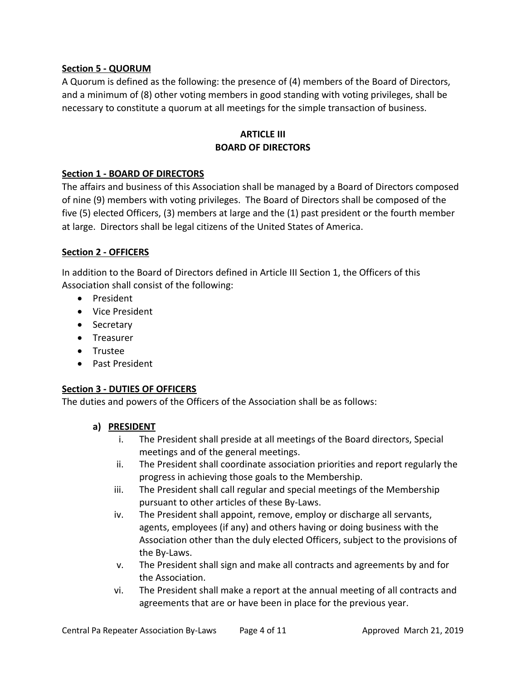# **Section 5 - QUORUM**

A Quorum is defined as the following: the presence of (4) members of the Board of Directors, and a minimum of (8) other voting members in good standing with voting privileges, shall be necessary to constitute a quorum at all meetings for the simple transaction of business.

# **ARTICLE III BOARD OF DIRECTORS**

# **Section 1 - BOARD OF DIRECTORS**

The affairs and business of this Association shall be managed by a Board of Directors composed of nine (9) members with voting privileges. The Board of Directors shall be composed of the five (5) elected Officers, (3) members at large and the (1) past president or the fourth member at large. Directors shall be legal citizens of the United States of America.

# **Section 2 - OFFICERS**

In addition to the Board of Directors defined in Article III Section 1, the Officers of this Association shall consist of the following:

- President
- Vice President
- Secretary
- Treasurer
- Trustee
- Past President

# **Section 3 - DUTIES OF OFFICERS**

The duties and powers of the Officers of the Association shall be as follows:

# **a) PRESIDENT**

- i. The President shall preside at all meetings of the Board directors, Special meetings and of the general meetings.
- ii. The President shall coordinate association priorities and report regularly the progress in achieving those goals to the Membership.
- iii. The President shall call regular and special meetings of the Membership pursuant to other articles of these By-Laws.
- iv. The President shall appoint, remove, employ or discharge all servants, agents, employees (if any) and others having or doing business with the Association other than the duly elected Officers, subject to the provisions of the By-Laws.
- v. The President shall sign and make all contracts and agreements by and for the Association.
- vi. The President shall make a report at the annual meeting of all contracts and agreements that are or have been in place for the previous year.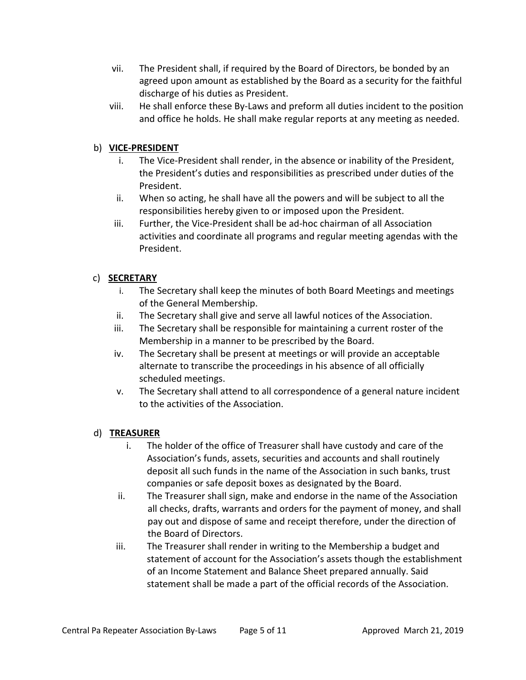- vii. The President shall, if required by the Board of Directors, be bonded by an agreed upon amount as established by the Board as a security for the faithful discharge of his duties as President.
- viii. He shall enforce these By-Laws and preform all duties incident to the position and office he holds. He shall make regular reports at any meeting as needed.

# b) **VICE-PRESIDENT**

- i. The Vice-President shall render, in the absence or inability of the President, the President's duties and responsibilities as prescribed under duties of the President.
- ii. When so acting, he shall have all the powers and will be subject to all the responsibilities hereby given to or imposed upon the President.
- iii. Further, the Vice-President shall be ad-hoc chairman of all Association activities and coordinate all programs and regular meeting agendas with the President.

# c) **SECRETARY**

- i. The Secretary shall keep the minutes of both Board Meetings and meetings of the General Membership.
- ii. The Secretary shall give and serve all lawful notices of the Association.
- iii. The Secretary shall be responsible for maintaining a current roster of the Membership in a manner to be prescribed by the Board.
- iv. The Secretary shall be present at meetings or will provide an acceptable alternate to transcribe the proceedings in his absence of all officially scheduled meetings.
- v. The Secretary shall attend to all correspondence of a general nature incident to the activities of the Association.

# d) **TREASURER**

- i. The holder of the office of Treasurer shall have custody and care of the Association's funds, assets, securities and accounts and shall routinely deposit all such funds in the name of the Association in such banks, trust companies or safe deposit boxes as designated by the Board.
- ii. The Treasurer shall sign, make and endorse in the name of the Association all checks, drafts, warrants and orders for the payment of money, and shall pay out and dispose of same and receipt therefore, under the direction of the Board of Directors.
- iii. The Treasurer shall render in writing to the Membership a budget and statement of account for the Association's assets though the establishment of an Income Statement and Balance Sheet prepared annually. Said statement shall be made a part of the official records of the Association.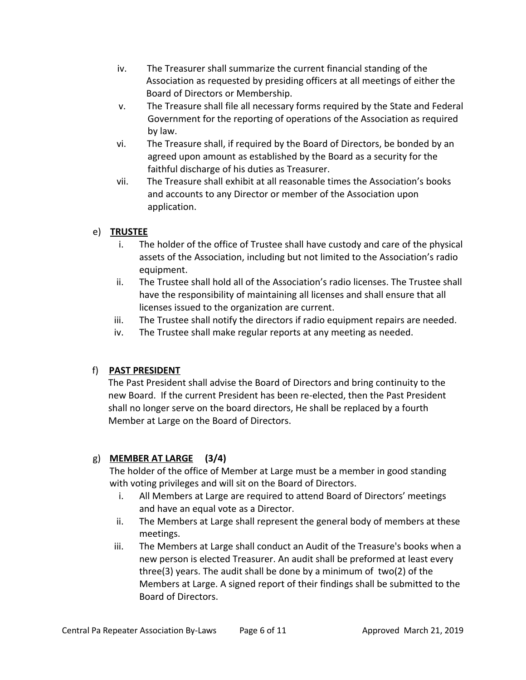- iv. The Treasurer shall summarize the current financial standing of the Association as requested by presiding officers at all meetings of either the Board of Directors or Membership.
- v. The Treasure shall file all necessary forms required by the State and Federal Government for the reporting of operations of the Association as required by law.
- vi. The Treasure shall, if required by the Board of Directors, be bonded by an agreed upon amount as established by the Board as a security for the faithful discharge of his duties as Treasurer.
- vii. The Treasure shall exhibit at all reasonable times the Association's books and accounts to any Director or member of the Association upon application.

# e) **TRUSTEE**

- i. The holder of the office of Trustee shall have custody and care of the physical assets of the Association, including but not limited to the Association's radio equipment.
- ii. The Trustee shall hold all of the Association's radio licenses. The Trustee shall have the responsibility of maintaining all licenses and shall ensure that all licenses issued to the organization are current.
- iii. The Trustee shall notify the directors if radio equipment repairs are needed.
- iv. The Trustee shall make regular reports at any meeting as needed.

# f) **PAST PRESIDENT**

The Past President shall advise the Board of Directors and bring continuity to the new Board. If the current President has been re-elected, then the Past President shall no longer serve on the board directors, He shall be replaced by a fourth Member at Large on the Board of Directors.

# g) **MEMBER AT LARGE (3/4)**

The holder of the office of Member at Large must be a member in good standing with voting privileges and will sit on the Board of Directors.

- i. All Members at Large are required to attend Board of Directors' meetings and have an equal vote as a Director.
- ii. The Members at Large shall represent the general body of members at these meetings.
- iii. The Members at Large shall conduct an Audit of the Treasure's books when a new person is elected Treasurer. An audit shall be preformed at least every three(3) years. The audit shall be done by a minimum of two(2) of the Members at Large. A signed report of their findings shall be submitted to the Board of Directors.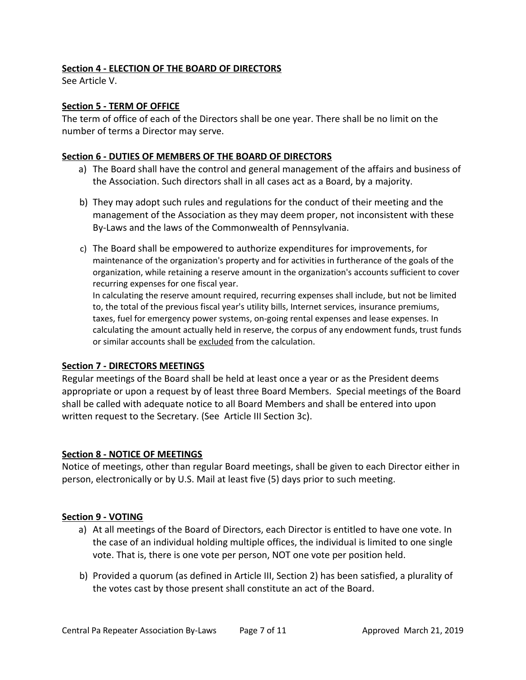# **Section 4 - ELECTION OF THE BOARD OF DIRECTORS**

See Article V.

## **Section 5 - TERM OF OFFICE**

The term of office of each of the Directors shall be one year. There shall be no limit on the number of terms a Director may serve.

#### **Section 6 - DUTIES OF MEMBERS OF THE BOARD OF DIRECTORS**

- a) The Board shall have the control and general management of the affairs and business of the Association. Such directors shall in all cases act as a Board, by a majority.
- b) They may adopt such rules and regulations for the conduct of their meeting and the management of the Association as they may deem proper, not inconsistent with these By-Laws and the laws of the Commonwealth of Pennsylvania.
- c) The Board shall be empowered to authorize expenditures for improvements, for maintenance of the organization's property and for activities in furtherance of the goals of the organization, while retaining a reserve amount in the organization's accounts sufficient to cover recurring expenses for one fiscal year.

In calculating the reserve amount required, recurring expenses shall include, but not be limited to, the total of the previous fiscal year's utility bills, Internet services, insurance premiums, taxes, fuel for emergency power systems, on-going rental expenses and lease expenses. In calculating the amount actually held in reserve, the corpus of any endowment funds, trust funds or similar accounts shall be excluded from the calculation.

#### **Section 7 - DIRECTORS MEETINGS**

Regular meetings of the Board shall be held at least once a year or as the President deems appropriate or upon a request by of least three Board Members. Special meetings of the Board shall be called with adequate notice to all Board Members and shall be entered into upon written request to the Secretary. (See Article III Section 3c).

#### **Section 8 - NOTICE OF MEETINGS**

Notice of meetings, other than regular Board meetings, shall be given to each Director either in person, electronically or by U.S. Mail at least five (5) days prior to such meeting.

#### **Section 9 - VOTING**

- a) At all meetings of the Board of Directors, each Director is entitled to have one vote. In the case of an individual holding multiple offices, the individual is limited to one single vote. That is, there is one vote per person, NOT one vote per position held.
- b) Provided a quorum (as defined in Article III, Section 2) has been satisfied, a plurality of the votes cast by those present shall constitute an act of the Board.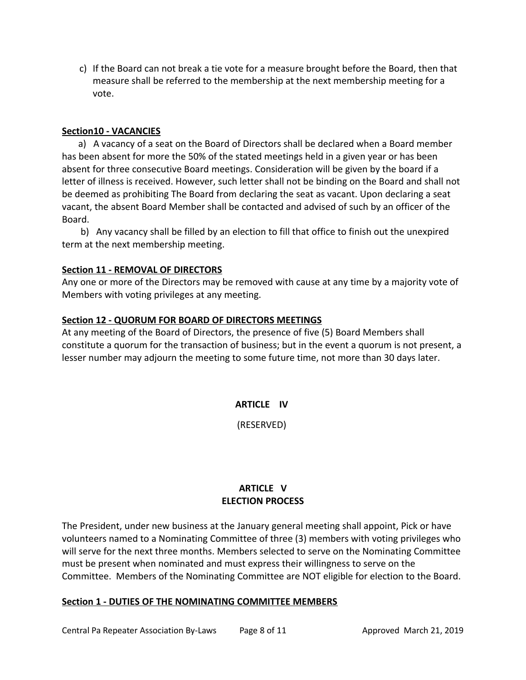c) If the Board can not break a tie vote for a measure brought before the Board, then that measure shall be referred to the membership at the next membership meeting for a vote.

#### **Section10 - VACANCIES**

 a) A vacancy of a seat on the Board of Directors shall be declared when a Board member has been absent for more the 50% of the stated meetings held in a given year or has been absent for three consecutive Board meetings. Consideration will be given by the board if a letter of illness is received. However, such letter shall not be binding on the Board and shall not be deemed as prohibiting The Board from declaring the seat as vacant. Upon declaring a seat vacant, the absent Board Member shall be contacted and advised of such by an officer of the Board.

 b) Any vacancy shall be filled by an election to fill that office to finish out the unexpired term at the next membership meeting.

# **Section 11 - REMOVAL OF DIRECTORS**

Any one or more of the Directors may be removed with cause at any time by a majority vote of Members with voting privileges at any meeting.

# **Section 12 - QUORUM FOR BOARD OF DIRECTORS MEETINGS**

At any meeting of the Board of Directors, the presence of five (5) Board Members shall constitute a quorum for the transaction of business; but in the event a quorum is not present, a lesser number may adjourn the meeting to some future time, not more than 30 days later.

**ARTICLE IV** 

(RESERVED)

# **ARTICLE V ELECTION PROCESS**

The President, under new business at the January general meeting shall appoint, Pick or have volunteers named to a Nominating Committee of three (3) members with voting privileges who will serve for the next three months. Members selected to serve on the Nominating Committee must be present when nominated and must express their willingness to serve on the Committee. Members of the Nominating Committee are NOT eligible for election to the Board.

#### **Section 1 - DUTIES OF THE NOMINATING COMMITTEE MEMBERS**

Central Pa Repeater Association By-Laws Page 8 of 11 The Approved March 21, 2019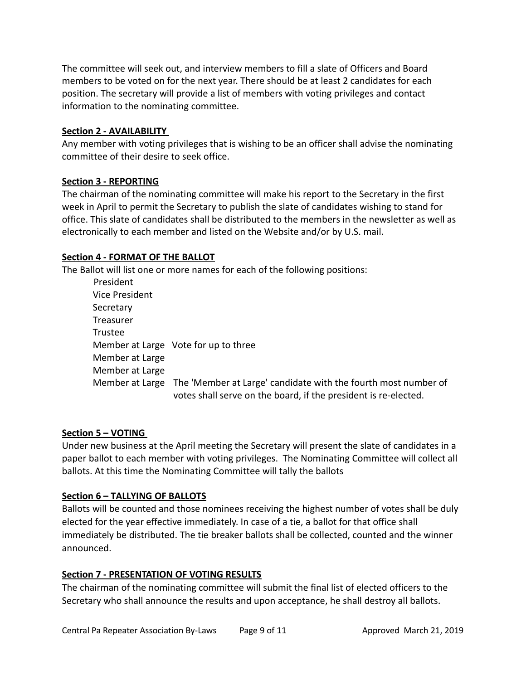The committee will seek out, and interview members to fill a slate of Officers and Board members to be voted on for the next year. There should be at least 2 candidates for each position. The secretary will provide a list of members with voting privileges and contact information to the nominating committee.

#### **Section 2 - AVAILABILITY**

Any member with voting privileges that is wishing to be an officer shall advise the nominating committee of their desire to seek office.

#### **Section 3 - REPORTING**

The chairman of the nominating committee will make his report to the Secretary in the first week in April to permit the Secretary to publish the slate of candidates wishing to stand for office. This slate of candidates shall be distributed to the members in the newsletter as well as electronically to each member and listed on the Website and/or by U.S. mail.

#### **Section 4 - FORMAT OF THE BALLOT**

The Ballot will list one or more names for each of the following positions:

| President       |                                                                                                                                                   |
|-----------------|---------------------------------------------------------------------------------------------------------------------------------------------------|
| Vice President  |                                                                                                                                                   |
| Secretary       |                                                                                                                                                   |
| Treasurer       |                                                                                                                                                   |
| Trustee         |                                                                                                                                                   |
|                 | Member at Large Vote for up to three                                                                                                              |
| Member at Large |                                                                                                                                                   |
| Member at Large |                                                                                                                                                   |
|                 | Member at Large The 'Member at Large' candidate with the fourth most number of<br>votes shall serve on the board, if the president is re-elected. |

#### **Section 5 – VOTING**

Under new business at the April meeting the Secretary will present the slate of candidates in a paper ballot to each member with voting privileges. The Nominating Committee will collect all ballots. At this time the Nominating Committee will tally the ballots

#### **Section 6 – TALLYING OF BALLOTS**

Ballots will be counted and those nominees receiving the highest number of votes shall be duly elected for the year effective immediately. In case of a tie, a ballot for that office shall immediately be distributed. The tie breaker ballots shall be collected, counted and the winner announced.

#### **Section 7 - PRESENTATION OF VOTING RESULTS**

The chairman of the nominating committee will submit the final list of elected officers to the Secretary who shall announce the results and upon acceptance, he shall destroy all ballots.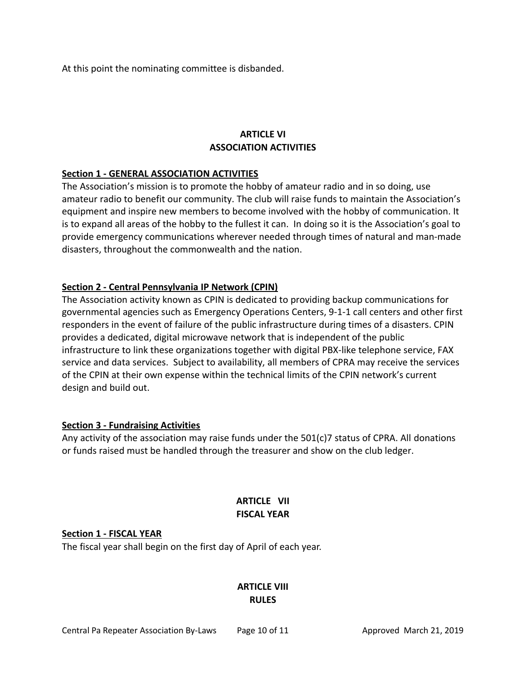At this point the nominating committee is disbanded.

# **ARTICLE VI ASSOCIATION ACTIVITIES**

# **Section 1 - GENERAL ASSOCIATION ACTIVITIES**

The Association's mission is to promote the hobby of amateur radio and in so doing, use amateur radio to benefit our community. The club will raise funds to maintain the Association's equipment and inspire new members to become involved with the hobby of communication. It is to expand all areas of the hobby to the fullest it can. In doing so it is the Association's goal to provide emergency communications wherever needed through times of natural and man-made disasters, throughout the commonwealth and the nation.

# **Section 2 - Central Pennsylvania IP Network (CPIN)**

The Association activity known as CPIN is dedicated to providing backup communications for governmental agencies such as Emergency Operations Centers, 9-1-1 call centers and other first responders in the event of failure of the public infrastructure during times of a disasters. CPIN provides a dedicated, digital microwave network that is independent of the public infrastructure to link these organizations together with digital PBX-like telephone service, FAX service and data services. Subject to availability, all members of CPRA may receive the services of the CPIN at their own expense within the technical limits of the CPIN network's current design and build out.

#### **Section 3 - Fundraising Activities**

Any activity of the association may raise funds under the 501(c)7 status of CPRA. All donations or funds raised must be handled through the treasurer and show on the club ledger.

# **ARTICLE VII FISCAL YEAR**

#### **Section 1 - FISCAL YEAR**

The fiscal year shall begin on the first day of April of each year.

# **ARTICLE VIII RULES**